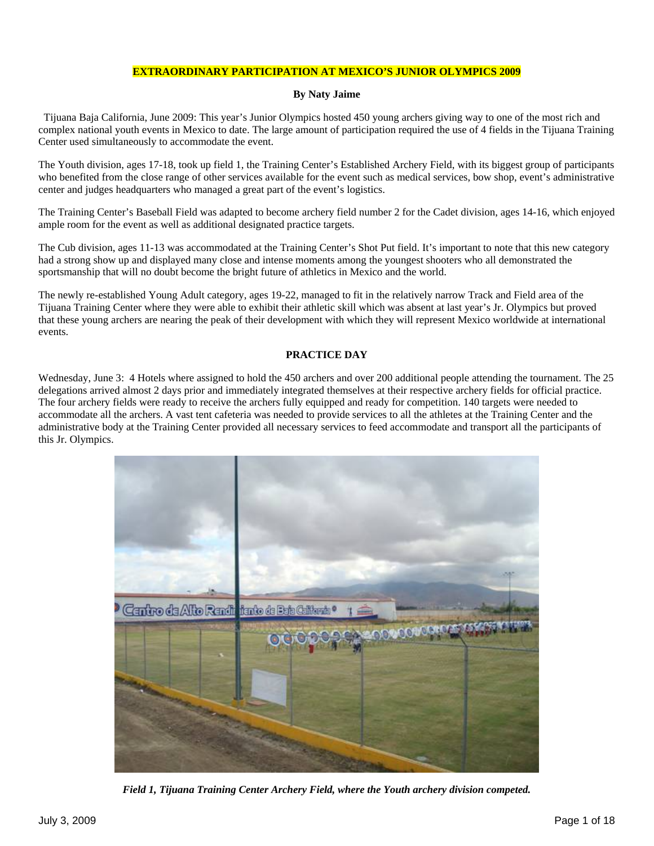## **EXTRAORDINARY PARTICIPATION AT MEXICO'S JUNIOR OLYMPICS 2009**

## **By Naty Jaime**

 Tijuana Baja California, June 2009: This year's Junior Olympics hosted 450 young archers giving way to one of the most rich and complex national youth events in Mexico to date. The large amount of participation required the use of 4 fields in the Tijuana Training Center used simultaneously to accommodate the event.

The Youth division, ages 17-18, took up field 1, the Training Center's Established Archery Field, with its biggest group of participants who benefited from the close range of other services available for the event such as medical services, bow shop, event's administrative center and judges headquarters who managed a great part of the event's logistics.

The Training Center's Baseball Field was adapted to become archery field number 2 for the Cadet division, ages 14-16, which enjoyed ample room for the event as well as additional designated practice targets.

The Cub division, ages 11-13 was accommodated at the Training Center's Shot Put field. It's important to note that this new category had a strong show up and displayed many close and intense moments among the youngest shooters who all demonstrated the sportsmanship that will no doubt become the bright future of athletics in Mexico and the world.

The newly re-established Young Adult category, ages 19-22, managed to fit in the relatively narrow Track and Field area of the Tijuana Training Center where they were able to exhibit their athletic skill which was absent at last year's Jr. Olympics but proved that these young archers are nearing the peak of their development with which they will represent Mexico worldwide at international events.

## **PRACTICE DAY**

Wednesday, June 3: 4 Hotels where assigned to hold the 450 archers and over 200 additional people attending the tournament. The 25 delegations arrived almost 2 days prior and immediately integrated themselves at their respective archery fields for official practice. The four archery fields were ready to receive the archers fully equipped and ready for competition. 140 targets were needed to accommodate all the archers. A vast tent cafeteria was needed to provide services to all the athletes at the Training Center and the administrative body at the Training Center provided all necessary services to feed accommodate and transport all the participants of this Jr. Olympics.



*Field 1, Tijuana Training Center Archery Field, where the Youth archery division competed.*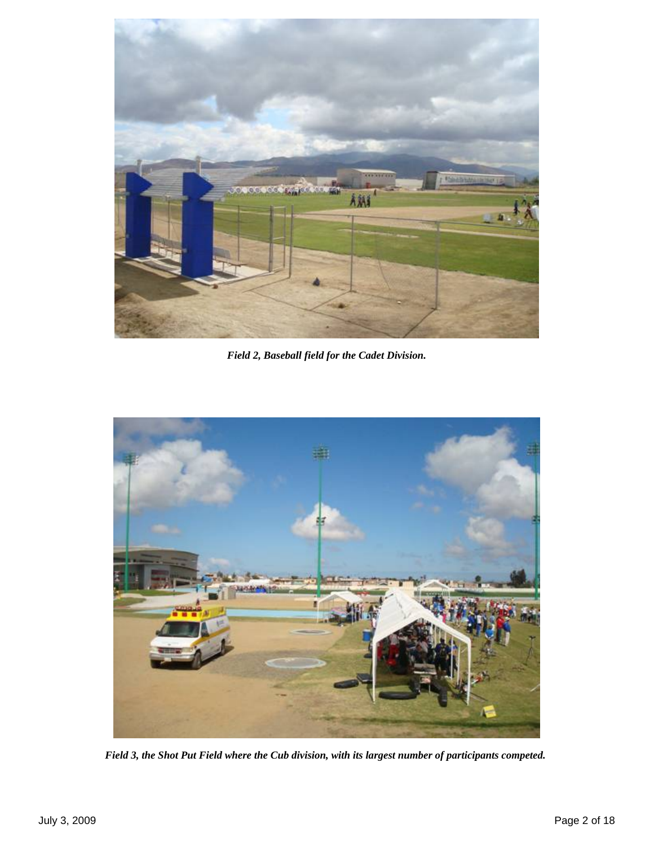

*Field 2, Baseball field for the Cadet Division.* 



*Field 3, the Shot Put Field where the Cub division, with its largest number of participants competed.*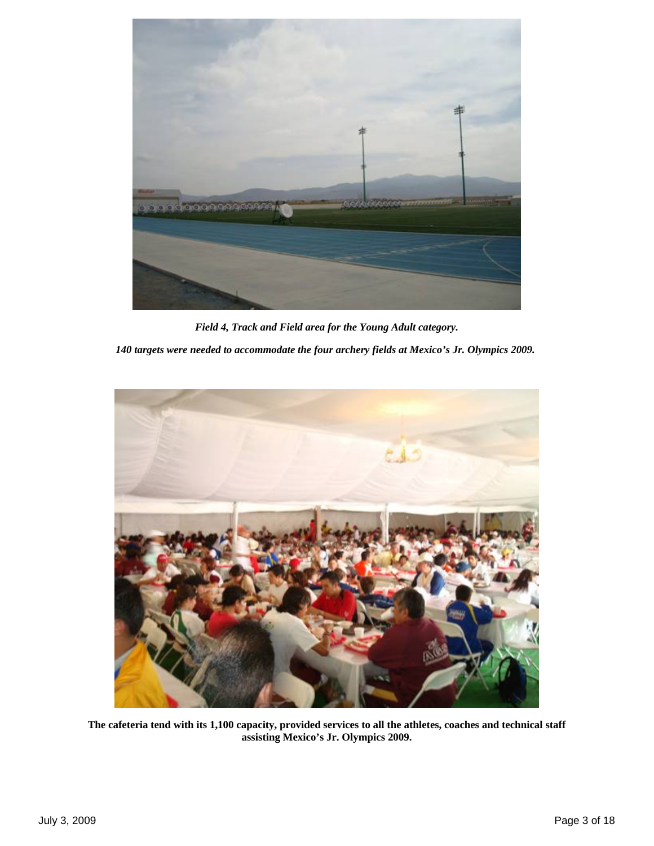

*Field 4, Track and Field area for the Young Adult category. 140 targets were needed to accommodate the four archery fields at Mexico's Jr. Olympics 2009.*



**The cafeteria tend with its 1,100 capacity, provided services to all the athletes, coaches and technical staff assisting Mexico's Jr. Olympics 2009.**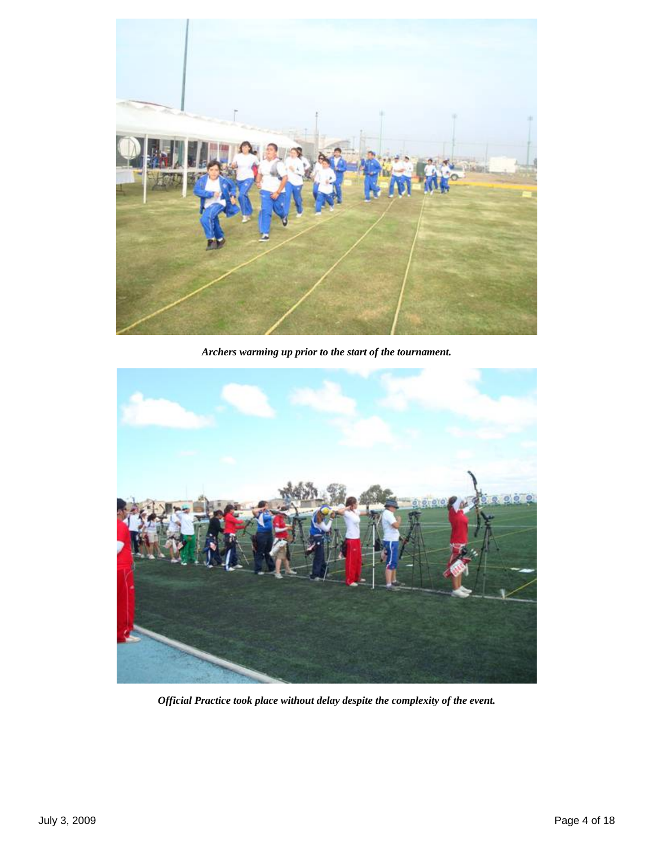

*Archers warming up prior to the start of the tournament.*



*Official Practice took place without delay despite the complexity of the event.*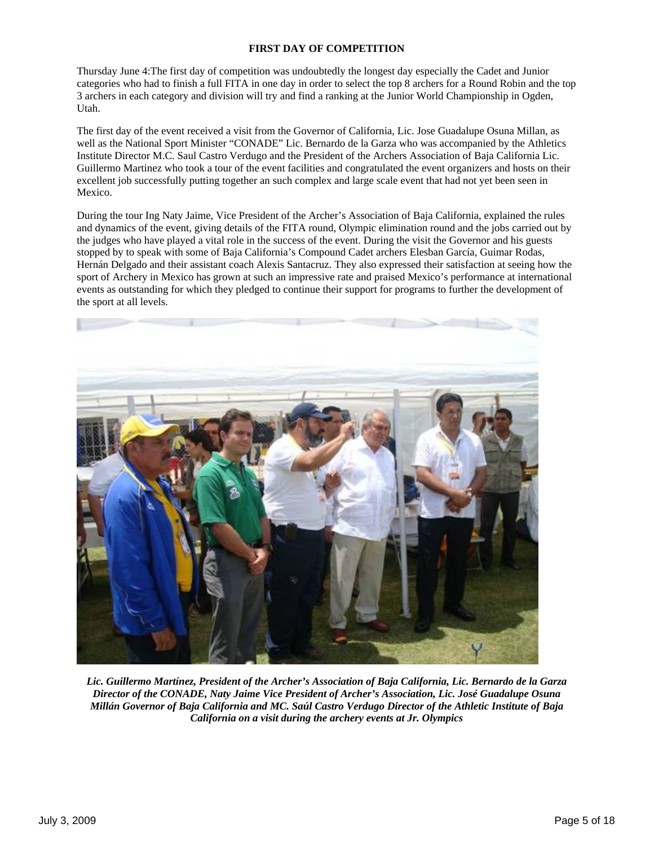## **FIRST DAY OF COMPETITION**

Thursday June 4:The first day of competition was undoubtedly the longest day especially the Cadet and Junior categories who had to finish a full FITA in one day in order to select the top 8 archers for a Round Robin and the top 3 archers in each category and division will try and find a ranking at the Junior World Championship in Ogden, Utah.

The first day of the event received a visit from the Governor of California, Lic. Jose Guadalupe Osuna Millan, as well as the National Sport Minister "CONADE" Lic. Bernardo de la Garza who was accompanied by the Athletics Institute Director M.C. Saul Castro Verdugo and the President of the Archers Association of Baja California Lic. Guillermo Martinez who took a tour of the event facilities and congratulated the event organizers and hosts on their excellent job successfully putting together an such complex and large scale event that had not yet been seen in Mexico.

During the tour Ing Naty Jaime, Vice President of the Archer's Association of Baja California, explained the rules and dynamics of the event, giving details of the FITA round, Olympic elimination round and the jobs carried out by the judges who have played a vital role in the success of the event. During the visit the Governor and his guests stopped by to speak with some of Baja California's Compound Cadet archers Elesban García, Guimar Rodas, Hernán Delgado and their assistant coach Alexis Santacruz. They also expressed their satisfaction at seeing how the sport of Archery in Mexico has grown at such an impressive rate and praised Mexico's performance at international events as outstanding for which they pledged to continue their support for programs to further the development of the sport at all levels.



*Lic. Guillermo Martínez, President of the Archer's Association of Baja California, Lic. Bernardo de la Garza Director of the CONADE, Naty Jaime Vice President of Archer's Association, Lic. José Guadalupe Osuna Millán Governor of Baja California and MC. Saúl Castro Verdugo Director of the Athletic Institute of Baja California on a visit during the archery events at Jr. Olympics*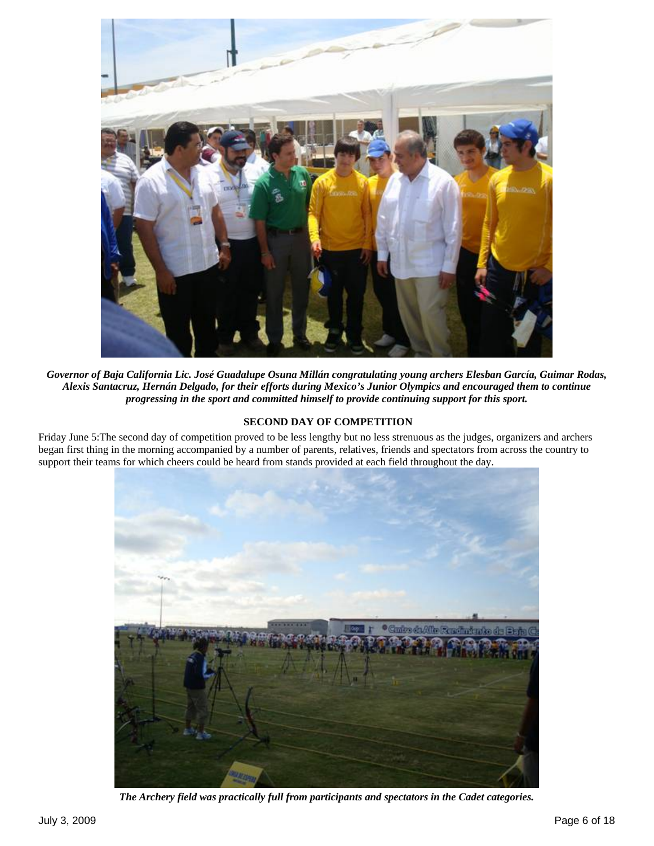

*Governor of Baja California Lic. José Guadalupe Osuna Millán congratulating young archers Elesban García, Guimar Rodas, Alexis Santacruz, Hernán Delgado, for their efforts during Mexico's Junior Olympics and encouraged them to continue progressing in the sport and committed himself to provide continuing support for this sport.*

## **SECOND DAY OF COMPETITION**

Friday June 5:The second day of competition proved to be less lengthy but no less strenuous as the judges, organizers and archers began first thing in the morning accompanied by a number of parents, relatives, friends and spectators from across the country to support their teams for which cheers could be heard from stands provided at each field throughout the day.



*The Archery field was practically full from participants and spectators in the Cadet categories.*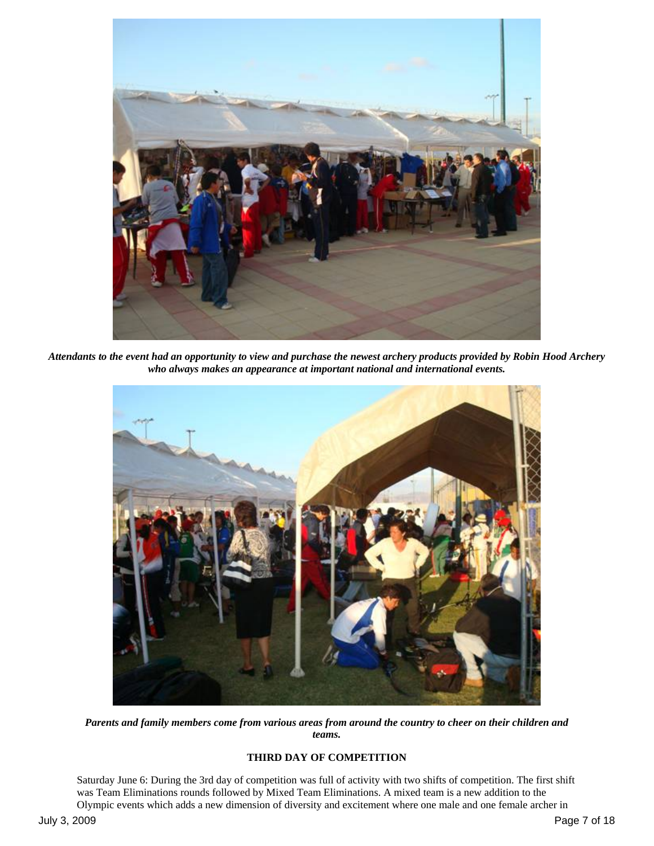

*Attendants to the event had an opportunity to view and purchase the newest archery products provided by Robin Hood Archery who always makes an appearance at important national and international events.* 



*Parents and family members come from various areas from around the country to cheer on their children and teams.* 

# **THIRD DAY OF COMPETITION**

Saturday June 6: During the 3rd day of competition was full of activity with two shifts of competition. The first shift was Team Eliminations rounds followed by Mixed Team Eliminations. A mixed team is a new addition to the Olympic events which adds a new dimension of diversity and excitement where one male and one female archer in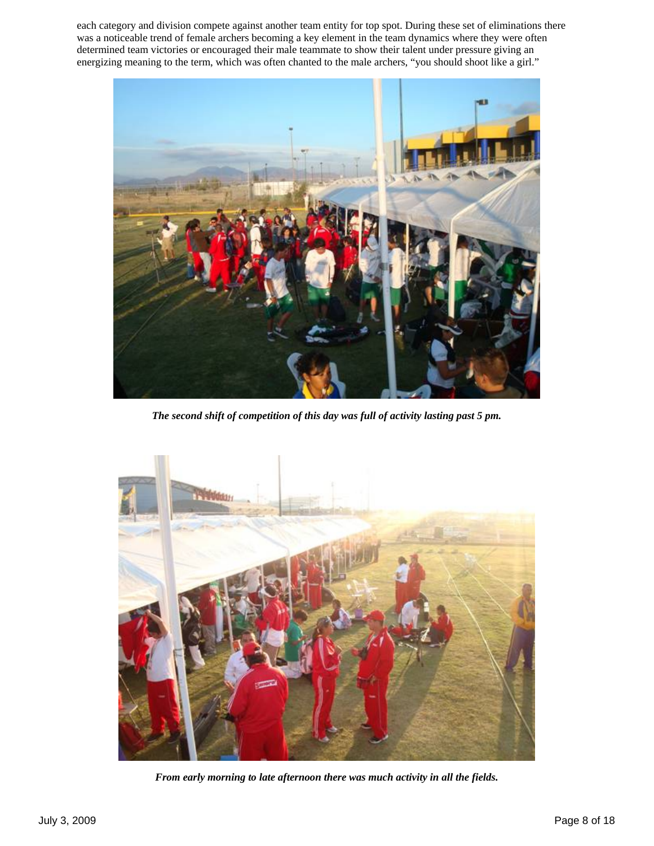each category and division compete against another team entity for top spot. During these set of eliminations there was a noticeable trend of female archers becoming a key element in the team dynamics where they were often determined team victories or encouraged their male teammate to show their talent under pressure giving an energizing meaning to the term, which was often chanted to the male archers, "you should shoot like a girl."



*The second shift of competition of this day was full of activity lasting past 5 pm.* 



*From early morning to late afternoon there was much activity in all the fields.*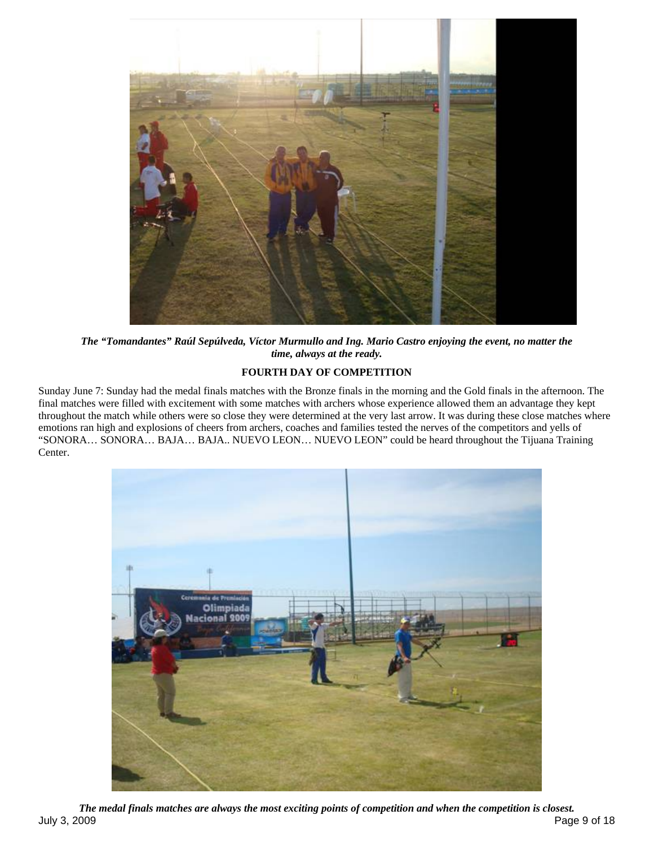

*The "Tomandantes" Raúl Sepúlveda, Víctor Murmullo and Ing. Mario Castro enjoying the event, no matter the time, always at the ready.*

# **FOURTH DAY OF COMPETITION**

Sunday June 7: Sunday had the medal finals matches with the Bronze finals in the morning and the Gold finals in the afternoon. The final matches were filled with excitement with some matches with archers whose experience allowed them an advantage they kept throughout the match while others were so close they were determined at the very last arrow. It was during these close matches where emotions ran high and explosions of cheers from archers, coaches and families tested the nerves of the competitors and yells of "SONORA… SONORA… BAJA… BAJA.. NUEVO LEON… NUEVO LEON" could be heard throughout the Tijuana Training Center.



July 3, 2009 Page 9 of 18 *The medal finals matches are always the most exciting points of competition and when the competition is closest.*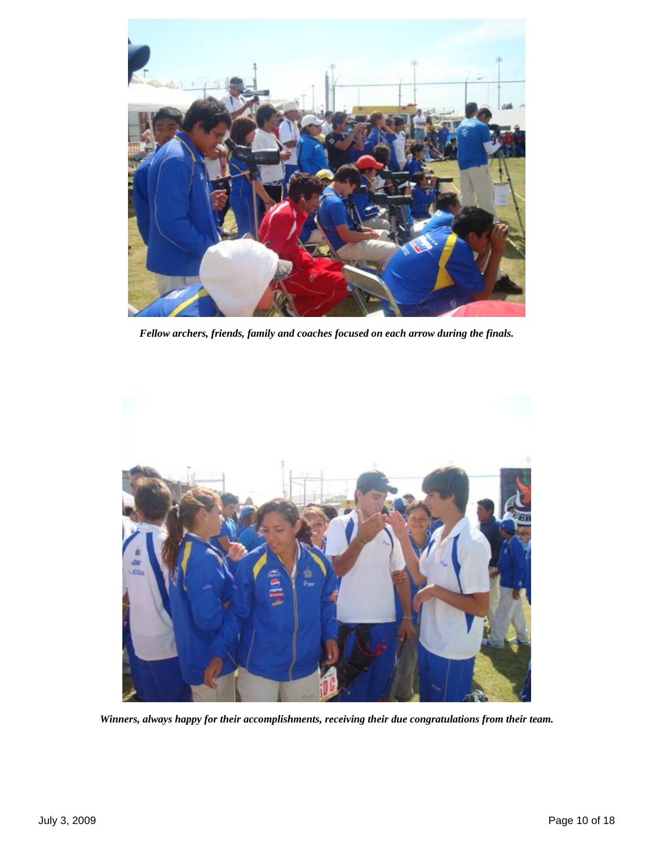

*Fellow archers, friends, family and coaches focused on each arrow during the finals.* 



*Winners, always happy for their accomplishments, receiving their due congratulations from their team.*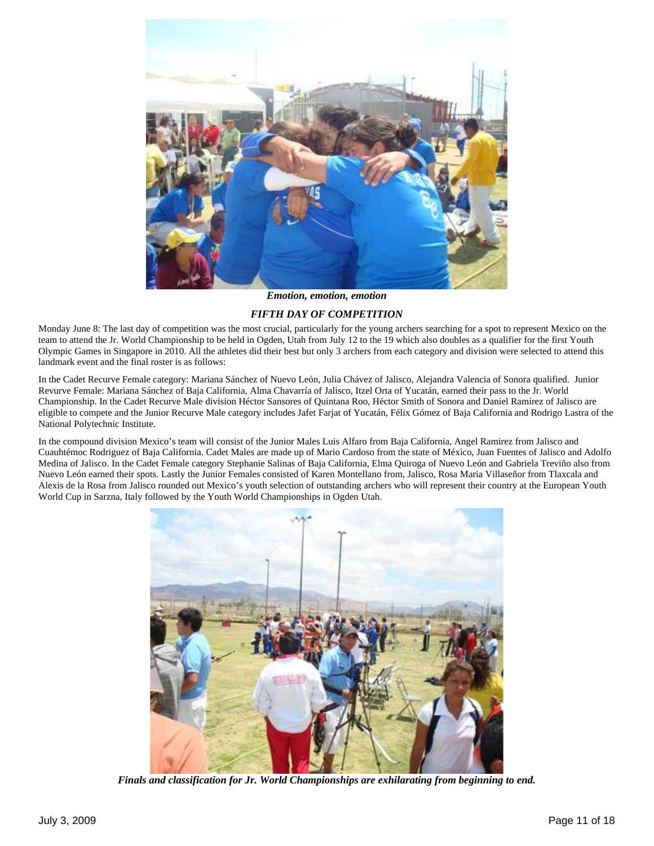

*Emotion, emotion, emotion* 

#### *FIFTH DAY OF COMPETITION*

Monday June 8: The last day of competition was the most crucial, particularly for the young archers searching for a spot to represent Mexico on the team to attend the Jr. World Championship to be held in Ogden, Utah from July 12 to the 19 which also doubles as a qualifier for the first Youth Olympic Games in Singapore in 2010. All the athletes did their best but only 3 archers from each category and division were selected to attend this landmark event and the final roster is as follows:

In the Cadet Recurve Female category: Mariana Sánchez of Nuevo León, Julia Chávez of Jalisco, Alejandra Valencia of Sonora qualified. Junior Revurve Female: Mariana Sánchez of Baja California, Alma Chavarría of Jalisco, Itzel Orta of Yucatán, earned their pass to the Jr. World Championship. In the Cadet Recurve Male division Héctor Sansores of Quintana Roo, Héctor Smith of Sonora and Daniel Ramírez of Jalisco are eligible to compete and the Junior Recurve Male category includes Jafet Farjat of Yucatán, Félix Gómez of Baja California and Rodrigo Lastra of the National Polytechnic Institute.

In the compound division Mexico's team will consist of the Junior Males Luis Alfaro from Baja California, Angel Ramirez from Jalisco and Cuauhtémoc Rodriguez of Baja California. Cadet Males are made up of Mario Cardoso from the state of México, Juan Fuentes of Jalisco and Adolfo Medina of Jalisco. In the Cadet Female category Stephanie Salinas of Baja California, Elma Quiroga of Nuevo León and Gabriela Treviño also from Nuevo León earned their spots. Lastly the Junior Females consisted of Karen Montellano from, Jalisco, Rosa Maria Villaseñor from Tlaxcala and Alexis de la Rosa from Jalisco rounded out Mexico's youth selection of outstanding archers who will represent their country at the European Youth World Cup in Sarzna, Italy followed by the Youth World Championships in Ogden Utah.



*Finals and classification for Jr. World Championships are exhilarating from beginning to end.*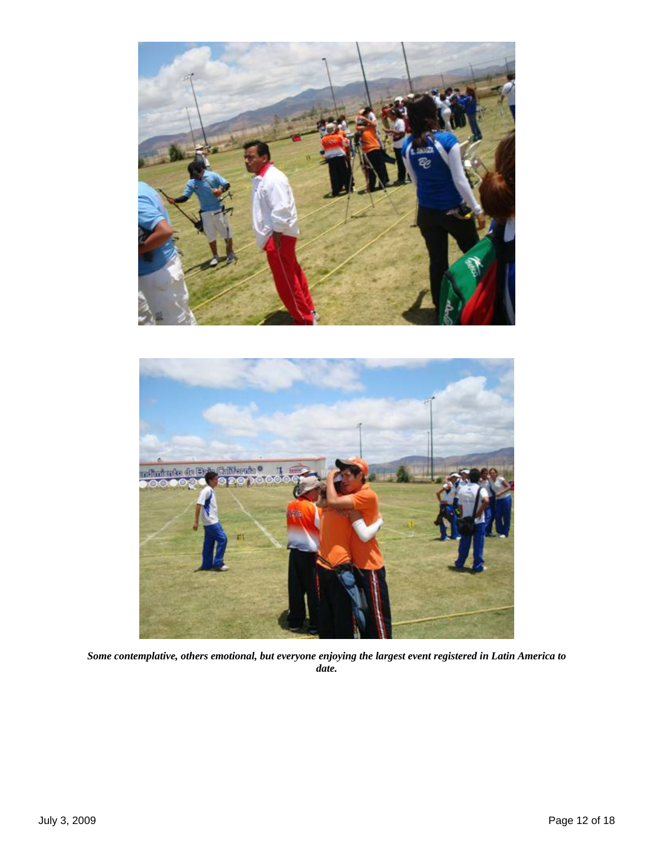



*Some contemplative, others emotional, but everyone enjoying the largest event registered in Latin America to date.*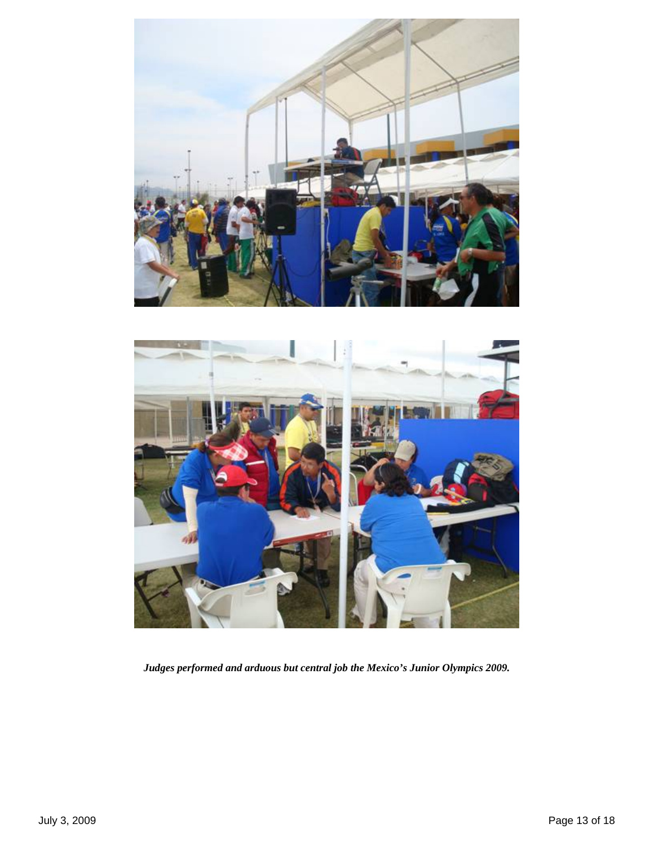



*Judges performed and arduous but central job the Mexico's Junior Olympics 2009.*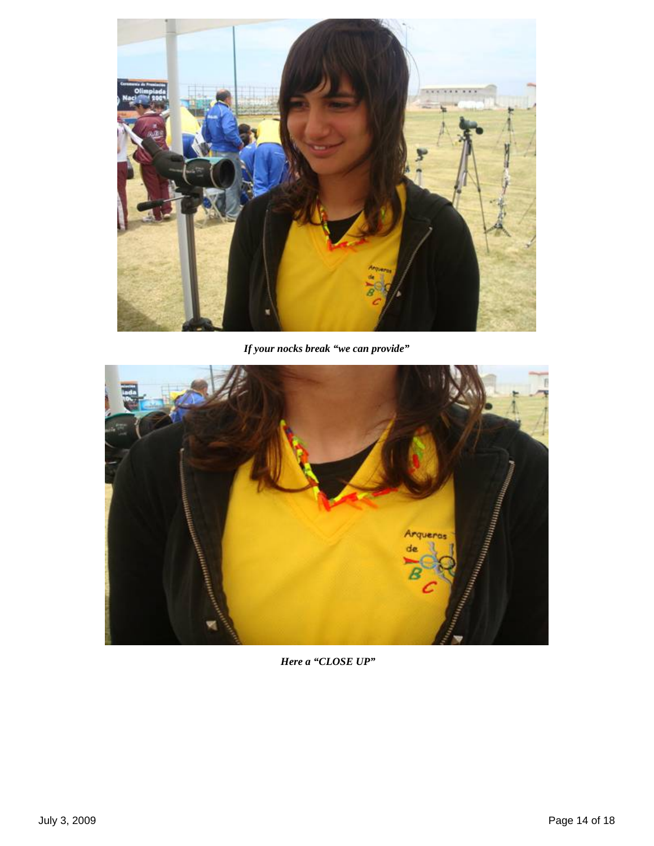

*If your nocks break "we can provide"*



*Here a "CLOSE UP"*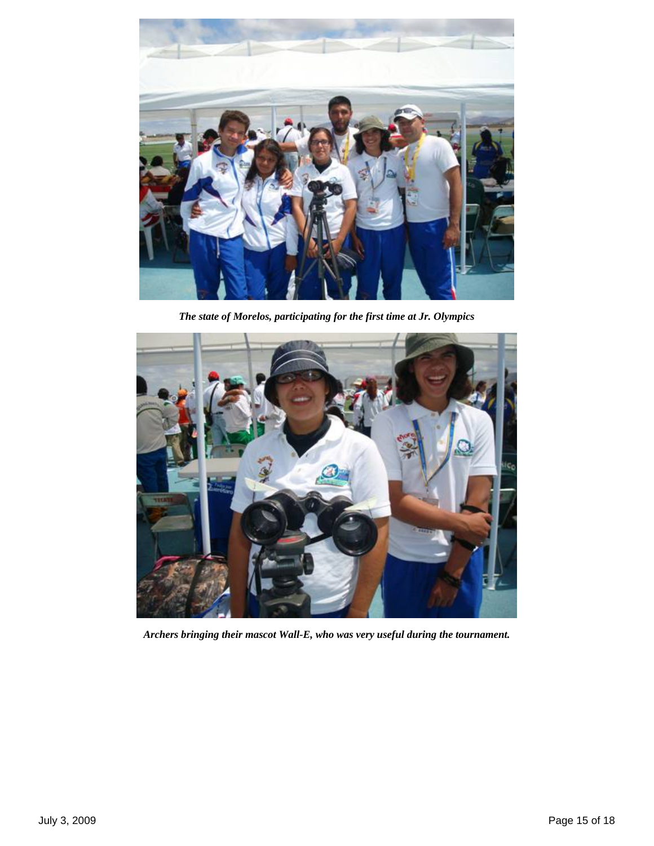

*The state of Morelos, participating for the first time at Jr. Olympics* 



*Archers bringing their mascot Wall-E, who was very useful during the tournament.*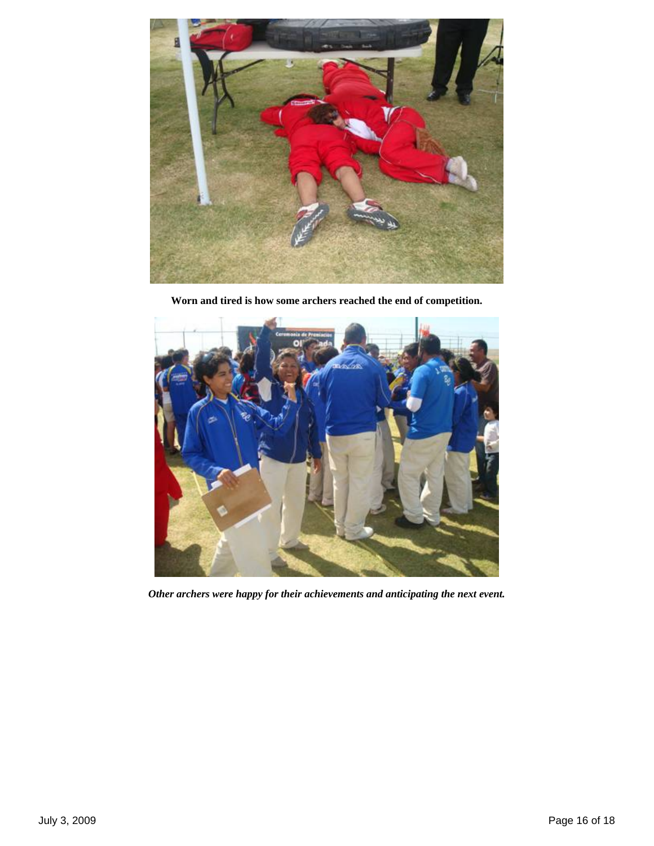

**Worn and tired is how some archers reached the end of competition.** 



*Other archers were happy for their achievements and anticipating the next event.*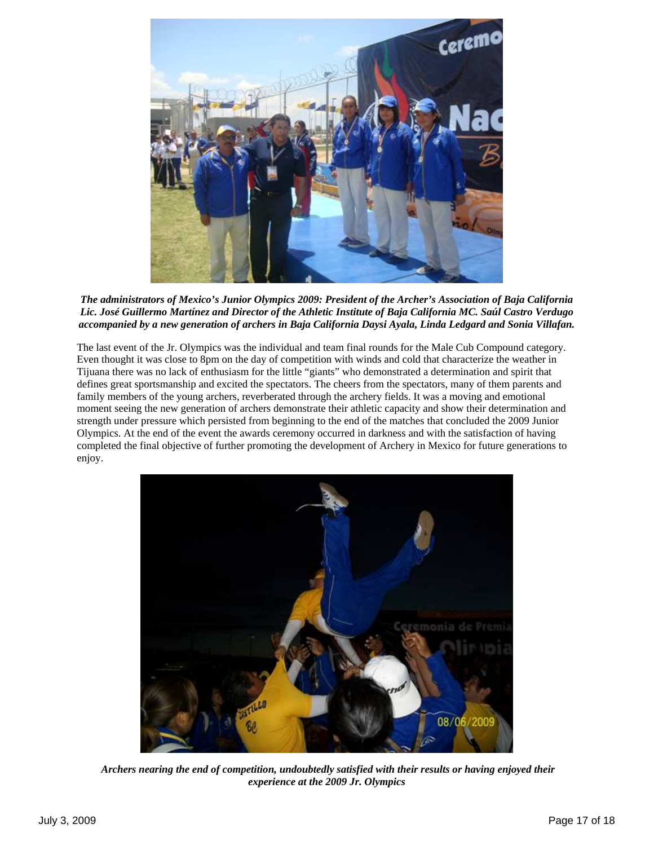

*The administrators of Mexico's Junior Olympics 2009: President of the Archer's Association of Baja California Lic. José Guillermo Martínez and Director of the Athletic Institute of Baja California MC. Saúl Castro Verdugo accompanied by a new generation of archers in Baja California Daysi Ayala, Linda Ledgard and Sonia Villafan.* 

The last event of the Jr. Olympics was the individual and team final rounds for the Male Cub Compound category. Even thought it was close to 8pm on the day of competition with winds and cold that characterize the weather in Tijuana there was no lack of enthusiasm for the little "giants" who demonstrated a determination and spirit that defines great sportsmanship and excited the spectators. The cheers from the spectators, many of them parents and family members of the young archers, reverberated through the archery fields. It was a moving and emotional moment seeing the new generation of archers demonstrate their athletic capacity and show their determination and strength under pressure which persisted from beginning to the end of the matches that concluded the 2009 Junior Olympics. At the end of the event the awards ceremony occurred in darkness and with the satisfaction of having completed the final objective of further promoting the development of Archery in Mexico for future generations to enjoy.



 *Archers nearing the end of competition, undoubtedly satisfied with their results or having enjoyed their experience at the 2009 Jr. Olympics*